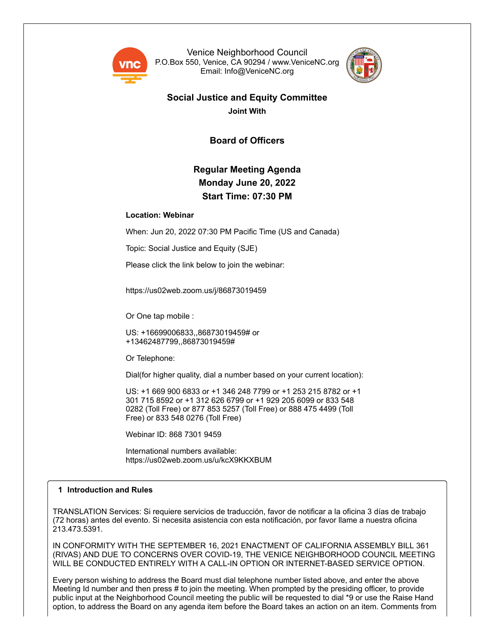

Venice Neighborhood Council P.O.Box 550, Venice, CA 90294 / www.VeniceNC.org Email: Info@VeniceNC.org



### **Social Justice and Equity Committee Joint With**

**Board of Officers**

## **Regular Meeting Agenda Monday June 20, 2022 Start Time: 07:30 PM**

#### **Location: Webinar**

When: Jun 20, 2022 07:30 PM Pacific Time (US and Canada)

Topic: Social Justice and Equity (SJE)

Please click the link below to join the webinar:

https://us02web.zoom.us/j/86873019459

Or One tap mobile :

US: +16699006833,,86873019459# or +13462487799,,86873019459#

Or Telephone:

Dial(for higher quality, dial a number based on your current location):

US: +1 669 900 6833 or +1 346 248 7799 or +1 253 215 8782 or +1 301 715 8592 or +1 312 626 6799 or +1 929 205 6099 or 833 548 0282 (Toll Free) or 877 853 5257 (Toll Free) or 888 475 4499 (Toll Free) or 833 548 0276 (Toll Free)

Webinar ID: 868 7301 9459

International numbers available: https://us02web.zoom.us/u/kcX9KKXBUM

#### **1 Introduction and Rules**

TRANSLATION Services: Si requiere servicios de traducción, favor de notificar a la oficina 3 días de trabajo (72 horas) antes del evento. Si necesita asistencia con esta notificación, por favor llame a nuestra oficina 213.473.5391.

IN CONFORMITY WITH THE SEPTEMBER 16, 2021 ENACTMENT OF CALIFORNIA ASSEMBLY BILL 361 (RIVAS) AND DUE TO CONCERNS OVER COVID-19, THE VENICE NEIGHBORHOOD COUNCIL MEETING WILL BE CONDUCTED ENTIRELY WITH A CALL-IN OPTION OR INTERNET-BASED SERVICE OPTION.

Every person wishing to address the Board must dial telephone number listed above, and enter the above Meeting Id number and then press # to join the meeting. When prompted by the presiding officer, to provide public input at the Neighborhood Council meeting the public will be requested to dial \*9 or use the Raise Hand option, to address the Board on any agenda item before the Board takes an action on an item. Comments from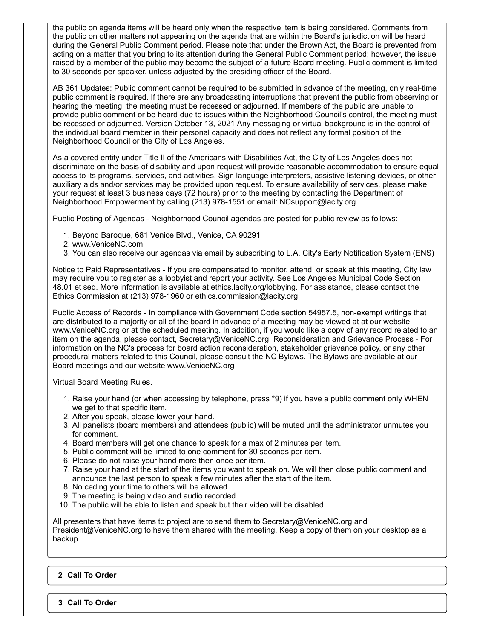the public on agenda items will be heard only when the respective item is being considered. Comments from the public on other matters not appearing on the agenda that are within the Board's jurisdiction will be heard during the General Public Comment period. Please note that under the Brown Act, the Board is prevented from acting on a matter that you bring to its attention during the General Public Comment period; however, the issue raised by a member of the public may become the subject of a future Board meeting. Public comment is limited to 30 seconds per speaker, unless adjusted by the presiding officer of the Board.

AB 361 Updates: Public comment cannot be required to be submitted in advance of the meeting, only real-time public comment is required. If there are any broadcasting interruptions that prevent the public from observing or hearing the meeting, the meeting must be recessed or adjourned. If members of the public are unable to provide public comment or be heard due to issues within the Neighborhood Council's control, the meeting must be recessed or adjourned. Version October 13, 2021 Any messaging or virtual background is in the control of the individual board member in their personal capacity and does not reflect any formal position of the Neighborhood Council or the City of Los Angeles.

As a covered entity under Title II of the Americans with Disabilities Act, the City of Los Angeles does not discriminate on the basis of disability and upon request will provide reasonable accommodation to ensure equal access to its programs, services, and activities. Sign language interpreters, assistive listening devices, or other auxiliary aids and/or services may be provided upon request. To ensure availability of services, please make your request at least 3 business days (72 hours) prior to the meeting by contacting the Department of Neighborhood Empowerment by calling (213) 978-1551 or email: NCsupport@lacity.org

Public Posting of Agendas - Neighborhood Council agendas are posted for public review as follows:

- 1. Beyond Baroque, 681 Venice Blvd., Venice, CA 90291
- 2. www.VeniceNC.com
- 3. You can also receive our agendas via email by subscribing to L.A. City's Early Notification System (ENS)

Notice to Paid Representatives - If you are compensated to monitor, attend, or speak at this meeting, City law may require you to register as a lobbyist and report your activity. See Los Angeles Municipal Code Section 48.01 et seq. More information is available at ethics.lacity.org/lobbying. For assistance, please contact the Ethics Commission at (213) 978-1960 or ethics.commission@lacity.org

Public Access of Records - In compliance with Government Code section 54957.5, non-exempt writings that are distributed to a majority or all of the board in advance of a meeting may be viewed at at our website: www.VeniceNC.org or at the scheduled meeting. In addition, if you would like a copy of any record related to an item on the agenda, please contact, Secretary@VeniceNC.org. Reconsideration and Grievance Process - For information on the NC's process for board action reconsideration, stakeholder grievance policy, or any other procedural matters related to this Council, please consult the NC Bylaws. The Bylaws are available at our Board meetings and our website www.VeniceNC.org

Virtual Board Meeting Rules.

- 1. Raise your hand (or when accessing by telephone, press \*9) if you have a public comment only WHEN we get to that specific item.
- 2. After you speak, please lower your hand.
- 3. All panelists (board members) and attendees (public) will be muted until the administrator unmutes you for comment.
- 4. Board members will get one chance to speak for a max of 2 minutes per item.
- 5. Public comment will be limited to one comment for 30 seconds per item.
- 6. Please do not raise your hand more then once per item.
- 7. Raise your hand at the start of the items you want to speak on. We will then close public comment and announce the last person to speak a few minutes after the start of the item.
- 8. No ceding your time to others will be allowed.
- 9. The meeting is being video and audio recorded.
- 10. The public will be able to listen and speak but their video will be disabled.

All presenters that have items to project are to send them to Secretary@VeniceNC.org and President@VeniceNC.org to have them shared with the meeting. Keep a copy of them on your desktop as a backup.

#### **2 Call To Order**

**3 Call To Order**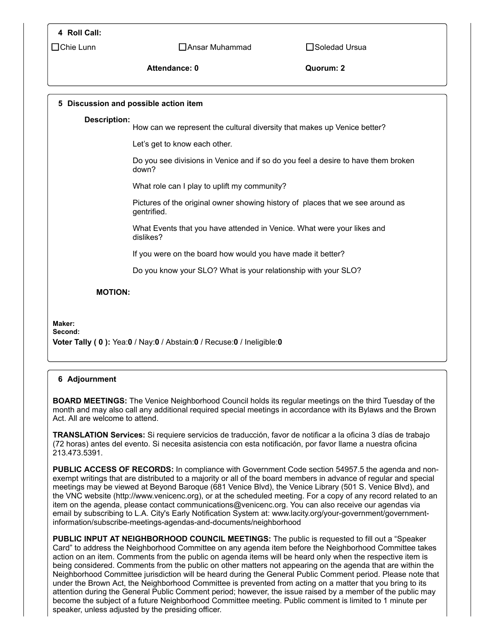#### **4 Roll Call:**

 $\Box$ Chie Lunn  $\Box$   $\Box$ Ansar Muhammad  $\Box$ Soledad Ursua

#### Attendance: 0 **Quorum: 2**

# **5 Discussion and possible action item Description:** How can we represent the cultural diversity that makes up Venice better? Let's get to know each other. Do you see divisions in Venice and if so do you feel a desire to have them broken down? What role can I play to uplift my community? Pictures of the original owner showing history of places that we see around as gentrified. What Events that you have attended in Venice. What were your likes and dislikes? If you were on the board how would you have made it better? Do you know your SLO? What is your relationship with your SLO? **MOTION: Maker: Second: Voter Tally ( 0 ):** Yea:**0** / Nay:**0** / Abstain:**0** / Recuse:**0** / Ineligible:**0**

#### **6** Adjournment

**BOARD MEETINGS:** The Venice Neighborhood Council holds its regular meetings on the third Tuesday of the month and may also call any additional required special meetings in accordance with its Bylaws and the Brown Act. All are welcome to attend.

**TRANSLATION Services:** Si requiere servicios de traducción, favor de notificar a la oficina 3 días de trabajo (72 horas) antes del evento. Si necesita asistencia con esta notificación, por favor llame a nuestra oficina 213.473.5391.

**PUBLIC ACCESS OF RECORDS:** In compliance with Government Code section 54957.5 the agenda and nonexempt writings that are distributed to a majority or all of the board members in advance of regular and special meetings may be viewed at Beyond Baroque (681 Venice Blvd), the Venice Library (501 S. Venice Blvd), and the VNC website (http://www.venicenc.org), or at the scheduled meeting. For a copy of any record related to an item on the agenda, please contact communications@venicenc.org. You can also receive our agendas via email by subscribing to L.A. City's Early Notification System at: www.lacity.org/your-government/governmentinformation/subscribe-meetings-agendas-and-documents/neighborhood

**PUBLIC INPUT AT NEIGHBORHOOD COUNCIL MEETINGS:** The public is requested to fill out a "Speaker Card" to address the Neighborhood Committee on any agenda item before the Neighborhood Committee takes action on an item. Comments from the public on agenda items will be heard only when the respective item is being considered. Comments from the public on other matters not appearing on the agenda that are within the Neighborhood Committee jurisdiction will be heard during the General Public Comment period. Please note that under the Brown Act, the Neighborhood Committee is prevented from acting on a matter that you bring to its attention during the General Public Comment period; however, the issue raised by a member of the public may become the subject of a future Neighborhood Committee meeting. Public comment is limited to 1 minute per speaker, unless adjusted by the presiding officer.